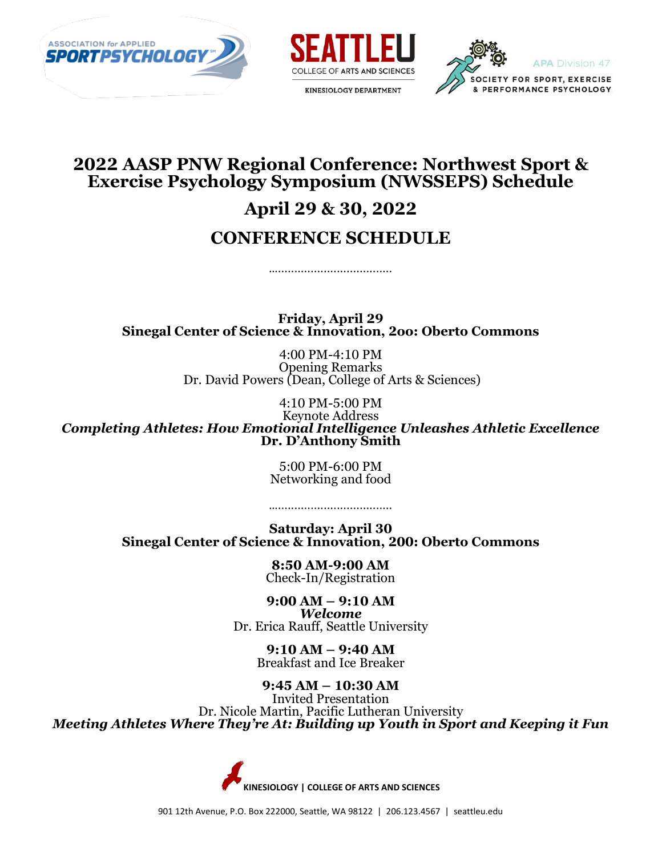





# **2022 AASP PNW Regional Conference: Northwest Sport & Exercise Psychology Symposium (NWSSEPS) Schedule April 29 & 30, 2022**

## **CONFERENCE SCHEDULE**

………………………………………

**Friday, April 29 Sinegal Center of Science & Innovation, 2oo: Oberto Commons**

> 4:00 PM-4:10 PM Opening Remarks Dr. David Powers (Dean, College of Arts & Sciences)

> > 4:10 PM-5:00 PM

Keynote Address *Completing Athletes: How Emotional Intelligence Unleashes Athletic Excellence* **Dr. D'Anthony Smith**

> 5:00 PM-6:00 PM Networking and food

**Saturday: April 30 Sinegal Center of Science & Innovation, 200: Oberto Commons**

…...................................

**8:50 AM-9:00 AM** Check-In/Registration

**9:00 AM – 9:10 AM** *Welcome* Dr. Erica Rauff, Seattle University

> **9:10 AM – 9:40 AM** Breakfast and Ice Breaker

**9:45 AM – 10:30 AM**  Invited Presentation Dr. Nicole Martin, Pacific Lutheran University *Meeting Athletes Where They're At: Building up Youth in Sport and Keeping it Fun*

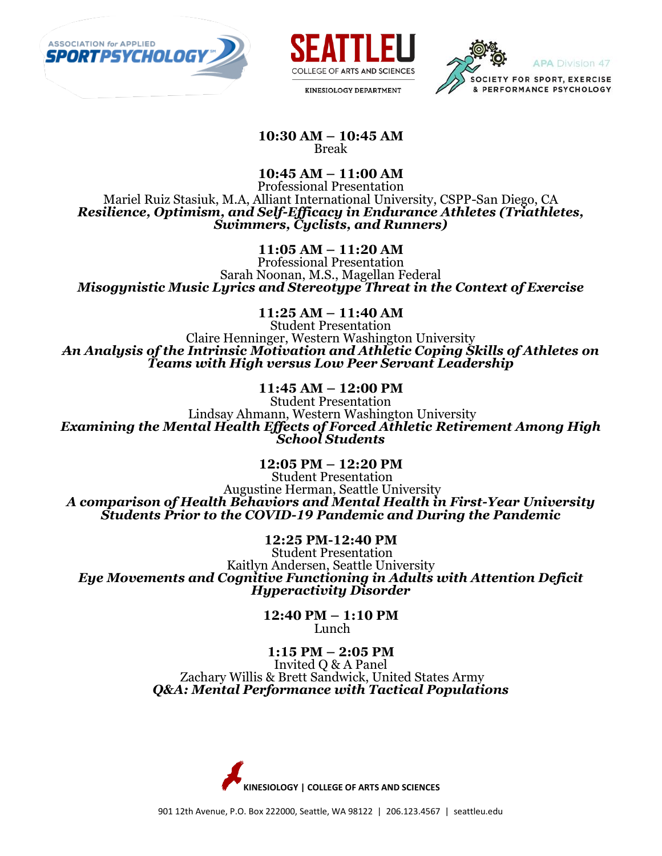





**10:30 AM – 10:45 AM** Break

**10:45 AM – 11:00 AM** Professional Presentation Mariel Ruiz Stasiuk, M.A, Alliant International University, CSPP-San Diego, CA *Resilience, Optimism, and Self-Efficacy in Endurance Athletes (Triathletes, Swimmers, Cyclists, and Runners)*

**11:05 AM – 11:20 AM**

Professional Presentation Sarah Noonan, M.S., Magellan Federal *Misogynistic Music Lyrics and Stereotype Threat in the Context of Exercise*

**11:25 AM – 11:40 AM** 

Student Presentation Claire Henninger, Western Washington University *An Analysis of the Intrinsic Motivation and Athletic Coping Skills of Athletes on Teams with High versus Low Peer Servant Leadership*

#### **11:45 AM – 12:00 PM**

Student Presentation Lindsay Ahmann, Western Washington University *Examining the Mental Health Effects of Forced Athletic Retirement Among High School Students*

**12:05 PM – 12:20 PM**

Student Presentation Augustine Herman, Seattle University *A comparison of Health Behaviors and Mental Health in First-Year University Students Prior to the COVID-19 Pandemic and During the Pandemic*

**12:25 PM-12:40 PM** Student Presentation Kaitlyn Andersen, Seattle University *Eye Movements and Cognitive Functioning in Adults with Attention Deficit Hyperactivity Disorder*

> **12:40 PM – 1:10 PM** Lunch

## **1:15 PM – 2:05 PM**

Invited Q & A Panel Zachary Willis & Brett Sandwick, United States Army *Q&A: Mental Performance with Tactical Populations*

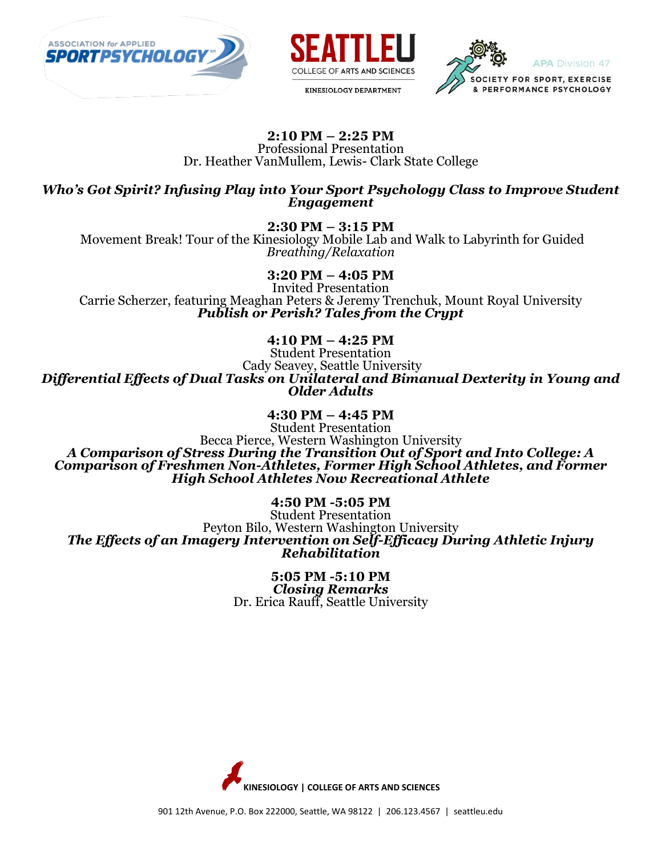





## **2:10 PM – 2:25 PM**

Professional Presentation Dr. Heather VanMullem, Lewis- Clark State College

*Who's Got Spirit? Infusing Play into Your Sport Psychology Class to Improve Student Engagement*

**2:30 PM – 3:15 PM**

Movement Break! Tour of the Kinesiology Mobile Lab and Walk to Labyrinth for Guided *Breathing/Relaxation*

**3:20 PM – 4:05 PM**

Invited Presentation Carrie Scherzer, featuring Meaghan Peters & Jeremy Trenchuk, Mount Royal University *Publish or Perish? Tales from the Crypt*

**4:10 PM – 4:25 PM**

Student Presentation Cady Seavey, Seattle University *Differential Effects of Dual Tasks on Unilateral and Bimanual Dexterity in Young and Older Adults*

> **4:30 PM – 4:45 PM** Student Presentation

Becca Pierce, Western Washington University *A Comparison of Stress During the Transition Out of Sport and Into College: A Comparison of Freshmen Non-Athletes, Former High School Athletes, and Former High School Athletes Now Recreational Athlete*

**4:50 PM -5:05 PM**

Student Presentation Peyton Bilo, Western Washington University *The Effects of an Imagery Intervention on Self-Efficacy During Athletic Injury Rehabilitation*

> **5:05 PM -5:10 PM** *Closing Remarks* Dr. Erica Rauff, Seattle University

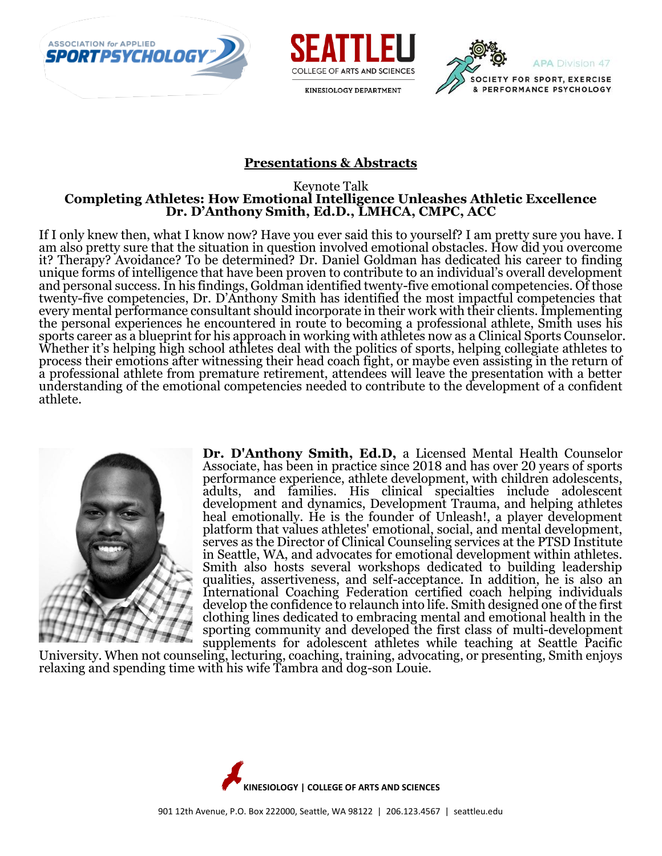





#### **Presentations & Abstracts**

#### Keynote Talk **Completing Athletes: How Emotional Intelligence Unleashes Athletic Excellence Dr. D'Anthony Smith, Ed.D., LMHCA, CMPC, ACC**

If I only knew then, what I know now? Have you ever said this to yourself? I am pretty sure you have. I am also pretty sure that the situation in question involved emotional obstacles. How did you overcome it? Therapy? Avoidance? To be determined? Dr. Daniel Goldman has dedicated his career to finding unique forms of intelligence that have been proven to contribute to an individual's overall development and personal success. In his findings, Goldman identified twenty-five emotional competencies. Of those twenty-five competencies, Dr. D'Anthony Smith has identified the most impactful competencies that every mental performance consultant should incorporate in their work with their clients. Implementing the personal experiences he encountered in route to becoming a professional athlete, Smith uses his sports career as a blueprint for his approach in working with athletes now as a Clinical Sports Counselor. Whether it's helping high school athletes deal with the politics of sports, helping collegiate athletes to process their emotions after witnessing their head coach fight, or maybe even assisting in the return of a professional athlete from premature retirement, attendees will leave the presentation with a better understanding of the emotional competencies needed to contribute to the development of a confident athlete.



**Dr. D'Anthony Smith, Ed.D,** a Licensed Mental Health Counselor Associate, has been in practice since 2018 and has over 20 years of sports performance experience, athlete development, with children adolescents, adults, and families. His clinical specialties include adolescent development and dynamics, Development Trauma, and helping athletes heal emotionally. He is the founder of Unleash!, a player development platform that values athletes' emotional, social, and mental development, serves as the Director of Clinical Counseling services at the PTSD Institute in Seattle, WA, and advocates for emotional development within athletes. Smith also hosts several workshops dedicated to building leadership qualities, assertiveness, and self-acceptance. In addition, he is also an International Coaching Federation certified coach helping individuals develop the confidence to relaunch into life. Smith designed one of the first clothing lines dedicated to embracing mental and emotional health in the sporting community and developed the first class of multi-development supplements for adolescent athletes while teaching at Seattle Pacific

University. When not counseling, lecturing, coaching, training, advocating, or presenting, Smith enjoys relaxing and spending time with his wife Tambra and dog-son Louie.

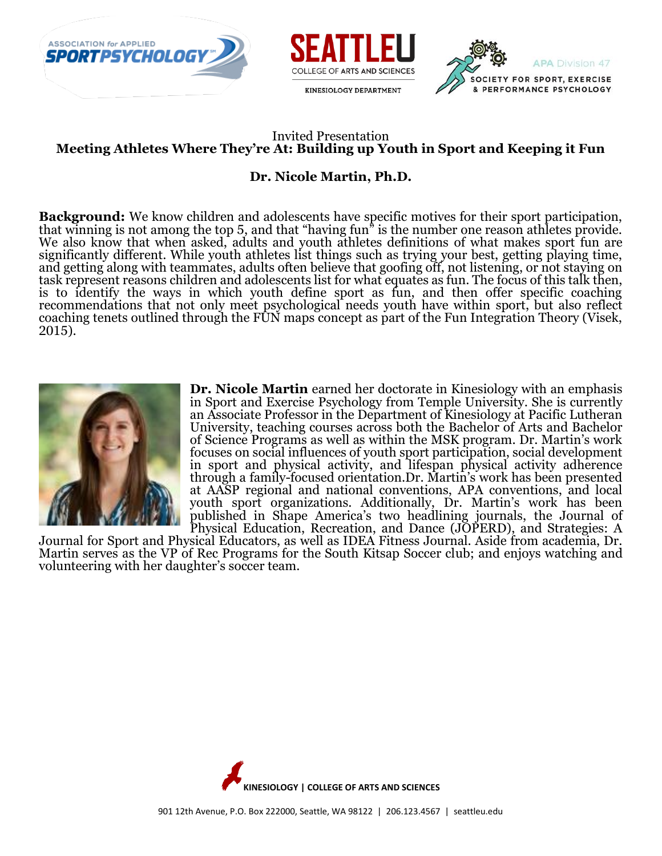





### Invited Presentation **Meeting Athletes Where They're At: Building up Youth in Sport and Keeping it Fun**

## **Dr. Nicole Martin, Ph.D.**

**Background:** We know children and adolescents have specific motives for their sport participation, that winning is not among the top 5, and that "having fun" is the number one reason athletes provide. We also know that when asked, adults and youth athletes definitions of what makes sport fun are significantly different. While youth athletes list things such as trying your best, getting playing time, and getting along with teammates, adults often believe that goofing off, not listening, or not staying on task represent reasons children and adolescents list for what equates as fun. The focus of this talk then, is to identify the ways in which youth define sport as fun, and then offer specific coaching recommendations that not only meet psychological needs youth have within sport, but also reflect coaching tenets outlined through the FUN maps concept as part of the Fun Integration Theory (Visek, 2015).



**Dr. Nicole Martin** earned her doctorate in Kinesiology with an emphasis in Sport and Exercise Psychology from Temple University. She is currently an Associate Professor in the Department of Kinesiology at Pacific Lutheran University, teaching courses across both the Bachelor of Arts and Bachelor of Science Programs as well as within the MSK program. Dr. Martin's work focuses on social influences of youth sport participation, social development in sport and physical activity, and lifespan physical activity adherence through a family-focused orientation.Dr. Martin's work has been presented at AASP regional and national conventions, APA conventions, and local youth sport organizations. Additionally, Dr. Martin's work has been published in Shape America's two headlining journals, the Journal of Physical Education, Recreation, and Dance (JOPERD), and Strategies: A

Journal for Sport and Physical Educators, as well as IDEA Fitness Journal. Aside from academia, Dr. Martin serves as the VP of Rec Programs for the South Kitsap Soccer club; and enjoys watching and volunteering with her daughter's soccer team.

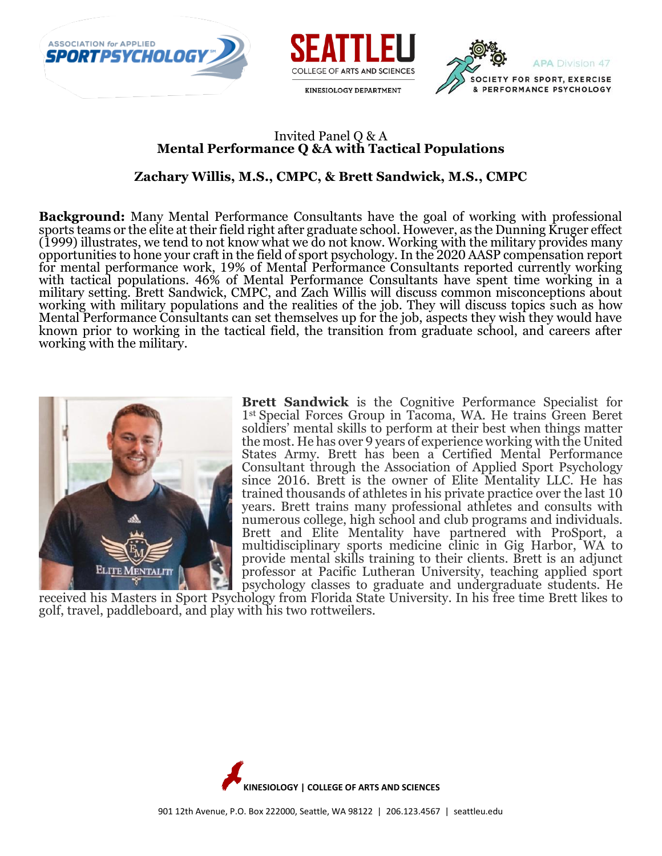





#### Invited Panel Q & A **Mental Performance Q &A with Tactical Populations**

## **Zachary Willis, M.S., CMPC, & Brett Sandwick, M.S., CMPC**

**Background:** Many Mental Performance Consultants have the goal of working with professional sports teams or the elite at their field right after graduate school. However, as the Dunning Kruger effect (1999) illustrates, we tend to not know what we do not know. Working with the military provides many opportunities to hone your craft in the field of sport psychology. In the 2020 AASP compensation report for mental performance work, 19% of Mental Performance Consultants reported currently working with tactical populations. 46% of Mental Performance Consultants have spent time working in a military setting. Brett Sandwick, CMPC, and Zach Willis will discuss common misconceptions about working with military populations and the realities of the job. They will discuss topics such as how Mental Performance Consultants can set themselves up for the job, aspects they wish they would have known prior to working in the tactical field, the transition from graduate school, and careers after working with the military.



**Brett Sandwick** is the Cognitive Performance Specialist for 1st Special Forces Group in Tacoma, WA. He trains Green Beret soldiers' mental skills to perform at their best when things matter the most. He has over 9 years of experience working with the United States Army. Brett has been a Certified Mental Performance Consultant through the Association of Applied Sport Psychology since 2016. Brett is the owner of Elite Mentality LLC. He has trained thousands of athletes in his private practice over the last 10 years. Brett trains many professional athletes and consults with numerous college, high school and club programs and individuals. Brett and Elite Mentality have partnered with ProSport, a multidisciplinary sports medicine clinic in Gig Harbor, WA to provide mental skills training to their clients. Brett is an adjunct professor at Pacific Lutheran University, teaching applied sport psychology classes to graduate and undergraduate students. He

received his Masters in Sport Psychology from Florida State University. In his free time Brett likes to golf, travel, paddleboard, and play with his two rottweilers.

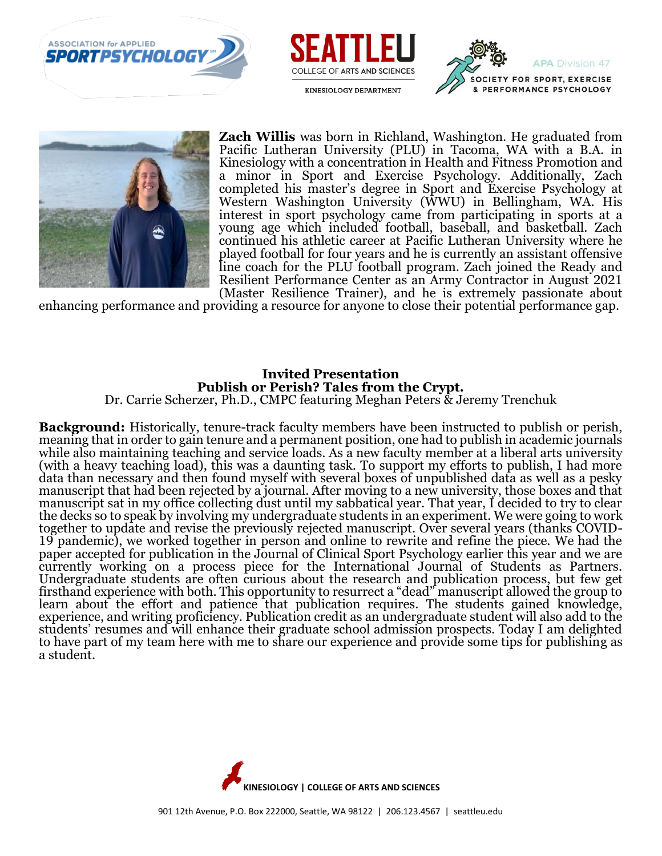







**Zach Willis** was born in Richland, Washington. He graduated from Pacific Lutheran University (PLU) in Tacoma, WA with a B.A. in Kinesiology with a concentration in Health and Fitness Promotion and a minor in Sport and Exercise Psychology. Additionally, Zach completed his master's degree in Sport and Exercise Psychology at Western Washington University (WWU) in Bellingham, WA. His interest in sport psychology came from participating in sports at a young age which included football, baseball, and basketball. Zach continued his athletic career at Pacific Lutheran University where he played football for four years and he is currently an assistant offensive line coach for the PLU football program. Zach joined the Ready and Resilient Performance Center as an Army Contractor in August 2021 (Master Resilience Trainer), and he is extremely passionate about

enhancing performance and providing a resource for anyone to close their potential performance gap.

#### **Invited Presentation Publish or Perish? Tales from the Crypt.** Dr. Carrie Scherzer, Ph.D., CMPC featuring Meghan Peters & Jeremy Trenchuk

**Background:** Historically, tenure-track faculty members have been instructed to publish or perish, meaning that in order to gain tenure and a permanent position, one had to publish in academic journals while also maintaining teaching and service loads. As a new faculty member at a liberal arts university

(with a heavy teaching load), this was a daunting task. To support my efforts to publish, I had more data than necessary and then found myself with several boxes of unpublished data as well as a pesky manuscript that had been rejected by a journal. After moving to a new university, those boxes and that manuscript sat in my office collecting dust until my sabbatical year. That year, I decided to try to clear the decks so to speak by involving my undergraduate students in an experiment. We were going to work together to update and revise the previously rejected manuscript. Over several years (thanks COVID-19 pandemic), we worked together in person and online to rewrite and refine the piece. We had the paper accepted for publication in the Journal of Clinical Sport Psychology earlier this year and we are currently working on a process piece for the International Journal of Students as Partners. Undergraduate students are often curious about the research and publication process, but few get firsthand experience with both. This opportunity to resurrect a "dead" manuscript allowed the group to learn about the effort and patience that publication requires. The students gained knowledge, experience, and writing proficiency. Publication credit as an undergraduate student will also add to the students' resumes and will enhance their graduate school admission prospects. Today I am delighted to have part of my team here with me to share our experience and provide some tips for publishing as a student.

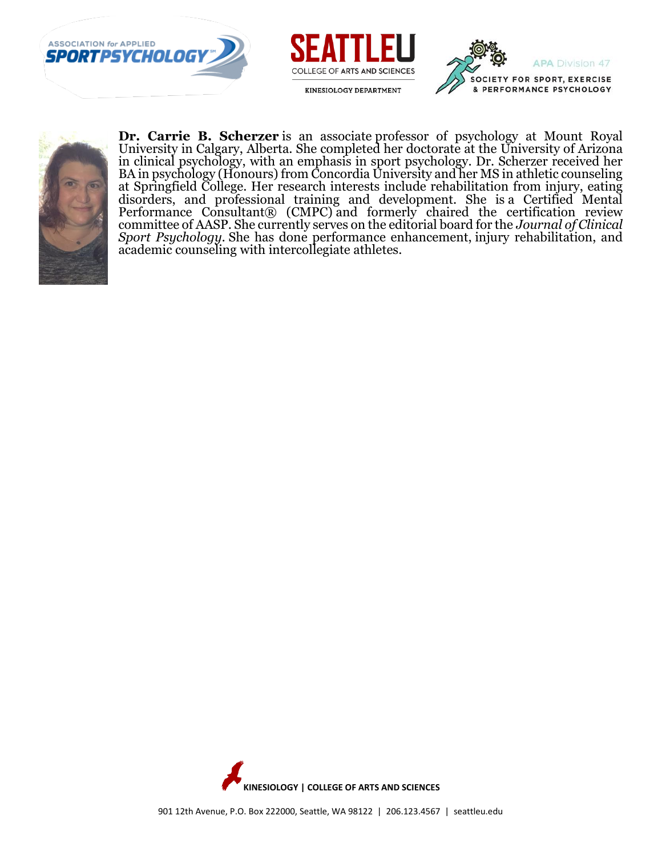







**Dr. Carrie B. Scherzer** is an associate professor of psychology at Mount Royal University in Calgary, Alberta. She completed her doctorate at the University of Arizona in clinical psychology, with an emphasis in sport psychology. Dr. Scherzer received her BA in psychology (Honours) from Concordia University and her MS in athletic counseling at Springfield College. Her research interests include rehabilitation from injury, eating disorders, and professional training and development. She is a Certified Mental Performance Consultant® (CMPC) and formerly chaired the certification review committee of AASP. She currently serves on the editorial board for the *Journal of Clinical Sport Psychology.* She has done performance enhancement, injury rehabilitation, and academic counseling with intercollegiate athletes.

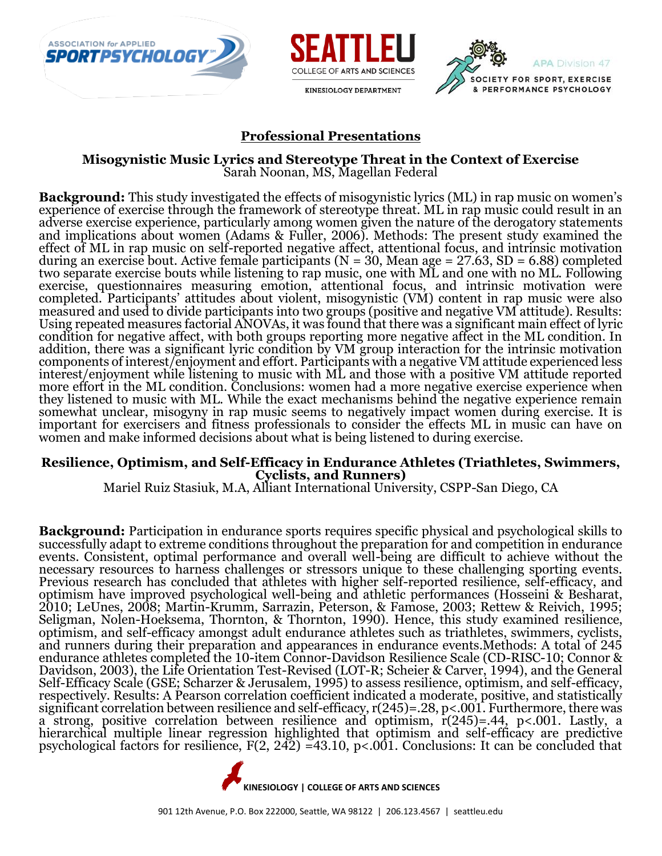





#### **Professional Presentations**

**Misogynistic Music Lyrics and Stereotype Threat in the Context of Exercise** Sarah Noonan, MS, Magellan Federal

**Background:** This study investigated the effects of misogynistic lyrics (ML) in rap music on women's experience of exercise through the framework of stereotype threat. ML in rap music could result in an adverse exercise experience, particularly among women given the nature of the derogatory statements and implications about women (Adams & Fuller, 2006). Methods: The present study examined the effect of ML in rap music on self-reported negative affect, attentional focus, and intrinsic motivation during an exercise bout. Active female participants ( $N = 30$ , Mean age = 27.63, SD = 6.88) completed two separate exercise bouts while listening to rap music, one with ML and one with no ML. Following exercise, questionnaires measuring emotion, attentional focus, and intrinsic motivation were completed. Participants' attitudes about violent, misogynistic (VM) content in rap music were also measured and used to divide participants into two groups (positive and negative VM attitude). Results: Using repeated measures factorial ANOVAs, it was found that there was a significant main effect of lyric condition for negative affect, with both groups reporting more negative affect in the ML condition. In addition, there was a significant lyric condition by VM group interaction for the intrinsic motivation components of interest/enjoyment and effort. Participants with a negative VM attitude experienced less interest/enjoyment while listening to music with ML and those with a positive VM attitude reported more effort in the ML condition. Conclusions: women had a more negative exercise experience when they listened to music with ML. While the exact mechanisms behind the negative experience remain somewhat unclear, misogyny in rap music seems to negatively impact women during exercise. It is important for exercisers and fitness professionals to consider the effects ML in music can have on women and make informed decisions about what is being listened to during exercise.

#### **Resilience, Optimism, and Self-Efficacy in Endurance Athletes (Triathletes, Swimmers, Cyclists, and Runners)**

Mariel Ruiz Stasiuk, M.A, Alliant International University, CSPP-San Diego, CA

**Background:** Participation in endurance sports requires specific physical and psychological skills to successfully adapt to extreme conditions throughout the preparation for and competition in endurance events. Consistent, optimal performance and overall well-being are difficult to achieve without the necessary resources to harness challenges or stressors unique to these challenging sporting events. Previous research has concluded that athletes with higher self-reported resilience, self-efficacy, and optimism have improved psychological well-being and athletic performances (Hosseini & Besharat, 2010; LeUnes, 2008; Martin-Krumm, Sarrazin, Peterson, & Famose, 2003; Rettew & Reivich, 1995; Seligman, Nolen-Hoeksema, Thornton, & Thornton, 1990). Hence, this study examined resilience, optimism, and self-efficacy amongst adult endurance athletes such as triathletes, swimmers, cyclists, and runners during their preparation and appearances in endurance events.Methods: A total of 245 endurance athletes completed the 10-item Connor-Davidson Resilience Scale (CD-RISC-10; Connor & Davidson, 2003), the Life Orientation Test-Revised (LOT-R; Scheier & Carver, 1994), and the General Self-Efficacy Scale (GSE; Scharzer & Jerusalem, 1995) to assess resilience, optimism, and self-efficacy, respectively. Results: A Pearson correlation coefficient indicated a moderate, positive, and statistically significant correlation between resilience and self-efficacy, r(245)=.28, p<.001. Furthermore, there was a strong, positive correlation between resilience and optimism, r(245)=.44, p<.001. Lastly, a hierarchical multiple linear regression highlighted that optimism and self-efficacy are predictive psychological factors for resilience, F(2, 242) =43.10, p<.001. Conclusions: It can be concluded that

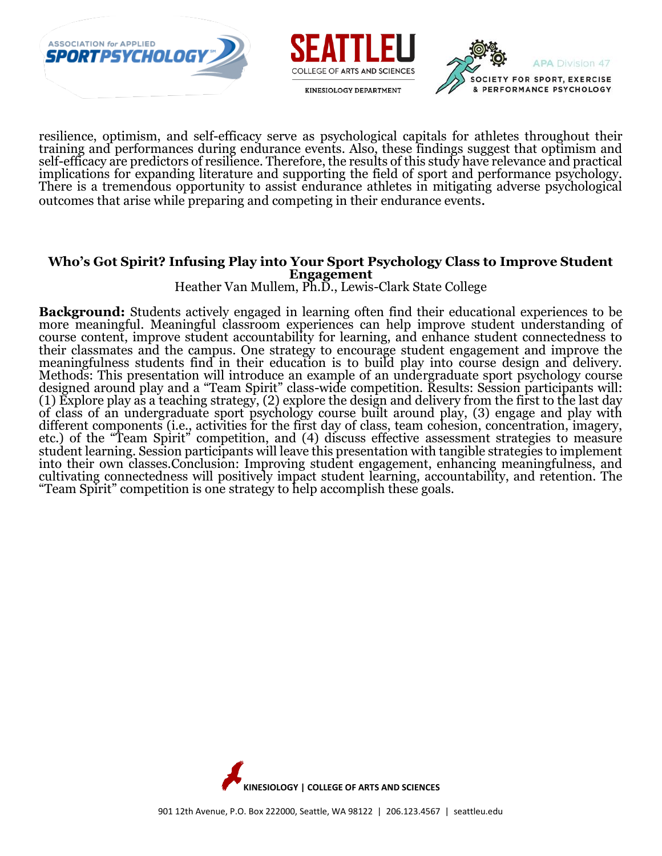





resilience, optimism, and self-efficacy serve as psychological capitals for athletes throughout their training and performances during endurance events. Also, these findings suggest that optimism and self-efficacy are predictors of resilience. Therefore, the results of this study have relevance and practical implications for expanding literature and supporting the field of sport and performance psychology. There is a tremendous opportunity to assist endurance athletes in mitigating adverse psychological outcomes that arise while preparing and competing in their endurance events.

#### **Who's Got Spirit? Infusing Play into Your Sport Psychology Class to Improve Student Engagement**

Heather Van Mullem, Ph.D., Lewis-Clark State College

**Background:** Students actively engaged in learning often find their educational experiences to be more meaningful. Meaningful classroom experiences can help improve student understanding of course content, improve student accountability for learning, and enhance student connectedness to their classmates and the campus. One strategy to encourage student engagement and improve the meaningfulness students find in their education is to build play into course design and delivery. Methods: This presentation will introduce an example of an undergraduate sport psychology course designed around play and a "Team Spirit" class-wide competition. Results: Session participants will: (1) Explore play as a teaching strategy, (2) explore the design and delivery from the first to the last day of class of an undergraduate sport psychology course built around play, (3) engage and play with different components (i.e., activities for the first day of class, team cohesion, concentration, imagery, etc.) of the "Team Spirit" competition, and (4) discuss effective assessment strategies to measure student learning. Session participants will leave this presentation with tangible strategies to implement into their own classes.Conclusion: Improving student engagement, enhancing meaningfulness, and cultivating connectedness will positively impact student learning, accountability, and retention. The "Team Spirit" competition is one strategy to help accomplish these goals.

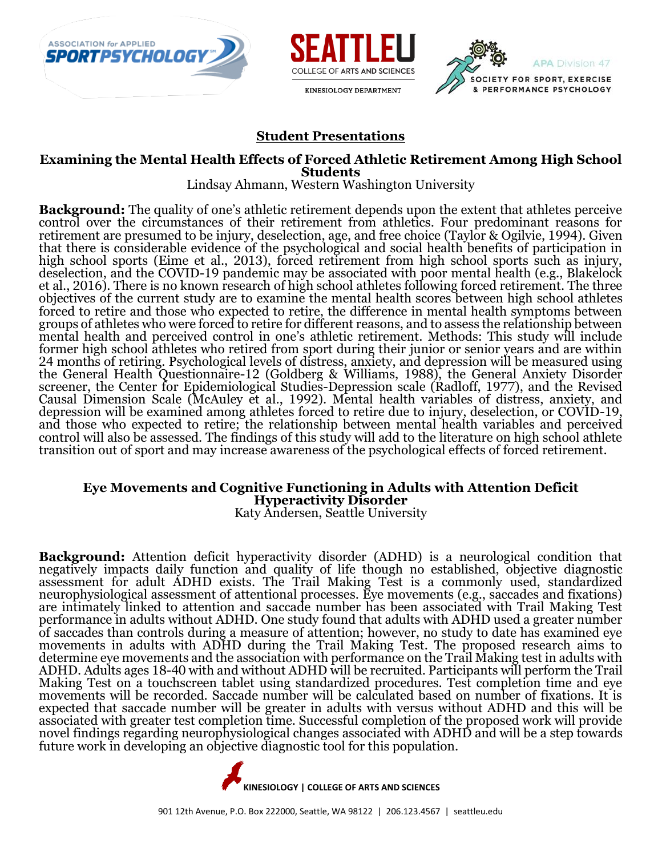





#### **Student Presentations**

#### **Examining the Mental Health Effects of Forced Athletic Retirement Among High School Students**

Lindsay Ahmann, Western Washington University

**Background:** The quality of one's athletic retirement depends upon the extent that athletes perceive control over the circumstances of their retirement from athletics. Four predominant reasons for retirement are presumed to be injury, deselection, age, and free choice (Taylor & Ogilvie, 1994). Given that there is considerable evidence of the psychological and social health benefits of participation in high school sports (Eime et al., 2013), forced retirement from high school sports such as injury, deselection, and the COVID-19 pandemic may be associated with poor mental health (e.g., Blakelock et al., 2016). There is no known research of high school athletes following forced retirement. The three objectives of the current study are to examine the mental health scores between high school athletes forced to retire and those who expected to retire, the difference in mental health symptoms between groups of athletes who were forced to retire for different reasons, and to assess the relationship between mental health and perceived control in one's athletic retirement. Methods: This study will include former high school athletes who retired from sport during their junior or senior years and are within 24 months of retiring. Psychological levels of distress, anxiety, and depression will be measured using the General Health Questionnaire-12 (Goldberg & Williams, 1988), the General Anxiety Disorder screener, the Center for Epidemiological Studies-Depression scale (Radloff, 1977), and the Revised Causal Dimension Scale (McAuley et al., 1992). Mental health variables of distress, anxiety, and depression will be examined among athletes forced to retire due to injury, deselection, or COVID-19, and those who expected to retire; the relationship between mental health variables and perceived control will also be assessed. The findings of this study will add to the literature on high school athlete transition out of sport and may increase awareness of the psychological effects of forced retirement.

## **Eye Movements and Cognitive Functioning in Adults with Attention Deficit Hyperactivity Disorder**

Katy Andersen, Seattle University

**Background:** Attention deficit hyperactivity disorder (ADHD) is a neurological condition that negatively impacts daily function and quality of life though no established, objective diagnostic assessment for adult ADHD exists. The Trail Making Test is a commonly used, standardized neurophysiological assessment of attentional processes. Eye movements (e.g., saccades and fixations) are intimately linked to attention and saccade number has been associated with Trail Making Test performance in adults without ADHD. One study found that adults with ADHD used a greater number of saccades than controls during a measure of attention; however, no study to date has examined eye movements in adults with ADHD during the Trail Making Test. The proposed research aims to determine eye movements and the association with performance on the Trail Making test in adults with ADHD. Adults ages 18-40 with and without ADHD will be recruited. Participants will perform the Trail Making Test on a touchscreen tablet using standardized procedures. Test completion time and eye movements will be recorded. Saccade number will be calculated based on number of fixations. It is expected that saccade number will be greater in adults with versus without ADHD and this will be associated with greater test completion time. Successful completion of the proposed work will provide novel findings regarding neurophysiological changes associated with ADHD and will be a step towards future work in developing an objective diagnostic tool for this population.

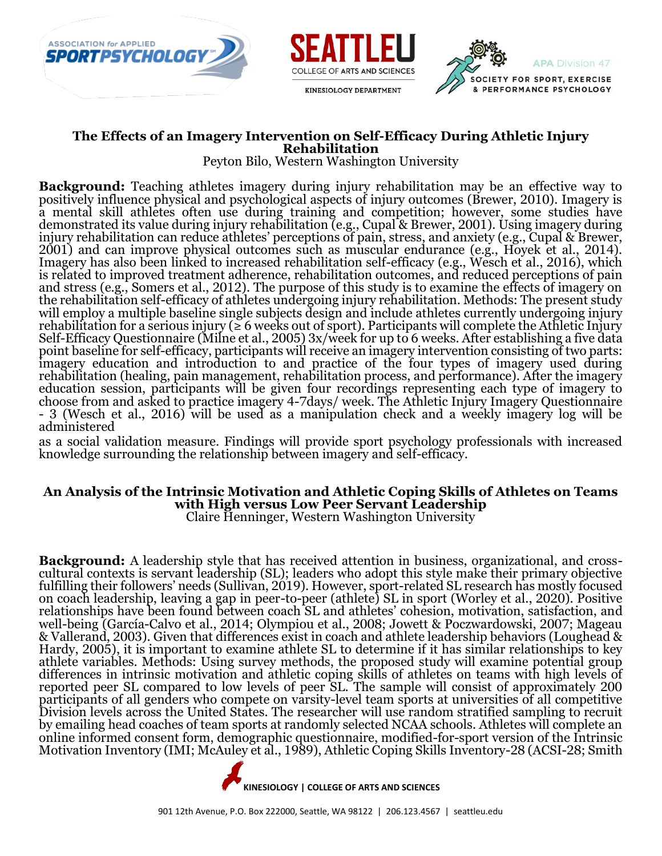





#### **The Effects of an Imagery Intervention on Self-Efficacy During Athletic Injury Rehabilitation**

Peyton Bilo, Western Washington University

**Background:** Teaching athletes imagery during injury rehabilitation may be an effective way to positively influence physical and psychological aspects of injury outcomes (Brewer, 2010). Imagery is a mental skill athletes often use during training and competition; however, some studies have demonstrated its value during injury rehabilitation (e.g., Cupal & Brewer, 2001). Using imagery during injury rehabilitation can reduce athletes' perceptions of pain, stress, and anxiety (e.g., Cupal & Brewer, 2001) and can improve physical outcomes such as muscular endurance (e.g., Hoyek et al., 2014). Imagery has also been linked to increased rehabilitation self-efficacy (e.g., Wesch et al., 2016), which is related to improved treatment adherence, rehabilitation outcomes, and reduced perceptions of pain and stress (e.g., Somers et al., 2012). The purpose of this study is to examine the effects of imagery on the rehabilitation self-efficacy of athletes undergoing injury rehabilitation. Methods: The present study will employ a multiple baseline single subjects design and include athletes currently undergoing injury rehabilitation for a serious injury ( $\geq 6$  weeks out of sport). Participants will complete the Athletic Injury Self-Efficacy Questionnaire (Milne et al., 2005) 3x/week for up to 6 weeks. After establishing a five data point baseline for self-efficacy, participants will receive an imagery intervention consisting of two parts: imagery education and introduction to and practice of the four types of imagery used during rehabilitation (healing, pain management, rehabilitation process, and performance). After the imagery education session, participants will be given four recordings representing each type of imagery to choose from and asked to practice imagery 4-7days/ week. The Athletic Injury Imagery Questionnaire - 3 (Wesch et al., 2016) will be used as a manipulation check and a weekly imagery log will be administered

as a social validation measure. Findings will provide sport psychology professionals with increased knowledge surrounding the relationship between imagery and self-efficacy.

## **An Analysis of the Intrinsic Motivation and Athletic Coping Skills of Athletes on Teams with High versus Low Peer Servant Leadership**

Claire Henninger, Western Washington University

**Background:** A leadership style that has received attention in business, organizational, and crosscultural contexts is servant leadership (SL); leaders who adopt this style make their primary objective fulfilling their followers' needs (Sullivan, 2019). However, sport-related SL research has mostly focused on coach leadership, leaving a gap in peer-to-peer (athlete) SL in sport (Worley et al., 2020). Positive relationships have been found between coach SL and athletes' cohesion, motivation, satisfaction, and well-being (García-Calvo et al., 2014; Olympiou et al., 2008; Jowett & Poczwardowski, 2007; Mageau & Vallerand, 2003). Given that differences exist in coach and athlete leadership behaviors (Loughead & Hardy, 2005), it is important to examine athlete SL to determine if it has similar relationships to key athlete variables. Methods: Using survey methods, the proposed study will examine potential group differences in intrinsic motivation and athletic coping skills of athletes on teams with high levels of reported peer SL compared to low levels of peer SL. The sample will consist of approximately 200 participants of all genders who compete on varsity-level team sports at universities of all competitive Division levels across the United States. The researcher will use random stratified sampling to recruit by emailing head coaches of team sports at randomly selected NCAA schools. Athletes will complete an online informed consent form, demographic questionnaire, modified-for-sport version of the Intrinsic Motivation Inventory (IMI; McAuley et al., 1989), Athletic Coping Skills Inventory-28 (ACSI-28; Smith

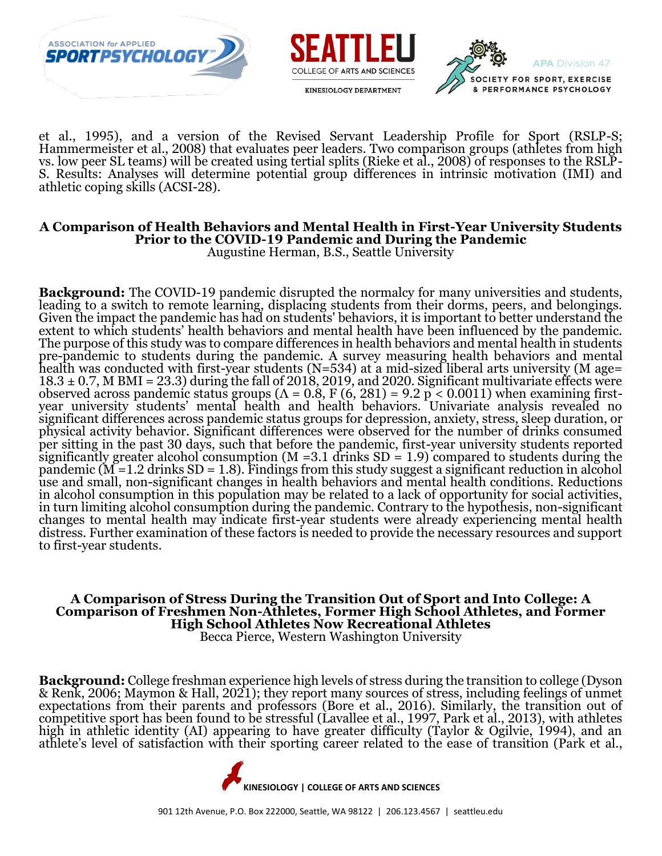





et al., 1995), and a version of the Revised Servant Leadership Profile for Sport (RSLP-S; Hammermeister et al., 2008) that evaluates peer leaders. Two comparison groups (athletes from high vs. low peer SL teams) will be created using tertial splits (Rieke et al., 2008) of responses to the RSLP-S. Results: Analyses will determine potential group differences in intrinsic motivation (IMI) and athletic coping skills (ACSI-28).

#### **A Comparison of Health Behaviors and Mental Health in First-Year University Students Prior to the COVID-19 Pandemic and During the Pandemic**

Augustine Herman, B.S., Seattle University

**Background:** The COVID-19 pandemic disrupted the normalcy for many universities and students, leading to a switch to remote learning, displacing students from their dorms, peers, and belongings. Given the impact the pandemic has had on students' behaviors, it is important to better understand the extent to which students' health behaviors and mental health have been influenced by the pandemic. The purpose of this study was to compare differences in health behaviors and mental health in students pre-pandemic to students during the pandemic. A survey measuring health behaviors and mental health was conducted with first-year students (N=534) at a mid-sized liberal arts university (M age=  $18.3 \pm 0.7$ , M BMI = 23.3) during the fall of 2018, 2019, and 2020. Significant multivariate effects were observed across pandemic status groups ( $\Lambda$  = 0.8, F (6, 281) = 9.2 p < 0.0011) when examining firstyear university students' mental health and health behaviors. Univariate analysis revealed no significant differences across pandemic status groups for depression, anxiety, stress, sleep duration, or physical activity behavior. Significant differences were observed for the number of drinks consumed per sitting in the past 30 days, such that before the pandemic, first-year university students reported significantly greater alcohol consumption (M = 3.1 drinks  $SD = 1.9$ ) compared to students during the pandemic ( $\tilde{M}$  =1.2 drinks SD = 1.8). Findings from this study suggest a significant reduction in alcohol use and small, non-significant changes in health behaviors and mental health conditions. Reductions in alcohol consumption in this population may be related to a lack of opportunity for social activities, in turn limiting alcohol consumption during the pandemic. Contrary to the hypothesis, non-significant changes to mental health may indicate first-year students were already experiencing mental health distress. Further examination of these factors is needed to provide the necessary resources and support to first-year students.

#### **A Comparison of Stress During the Transition Out of Sport and Into College: A Comparison of Freshmen Non-Athletes, Former High School Athletes, and Former High School Athletes Now Recreational Athletes** Becca Pierce, Western Washington University

**Background:** College freshman experience high levels of stress during the transition to college (Dyson & Renk, 2006; Maymon & Hall, 2021); they report many sources of stress, including feelings of unmet expectations from their parents and professors (Bore et al., 2016). Similarly, the transition out of competitive sport has been found to be stressful (Lavallee et al., 1997, Park et al., 2013), with athletes high in athletic identity (AI) appearing to have greater difficulty (Taylor & Ogilvie, 1994), and an athlete's level of satisfaction with their sporting career related to the ease of transition (Park et al.,